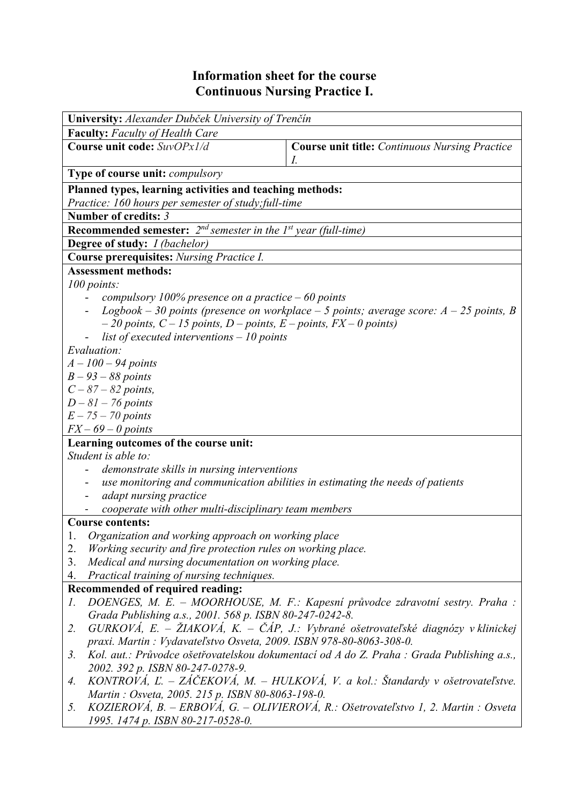## **Information sheet for the course Continuous Nursing Practice I.**

| University: Alexander Dubček University of Trenčín                                       |                                                                                           |  |  |  |  |  |  |
|------------------------------------------------------------------------------------------|-------------------------------------------------------------------------------------------|--|--|--|--|--|--|
| <b>Faculty:</b> Faculty of Health Care                                                   |                                                                                           |  |  |  |  |  |  |
| Course unit code: SuvOPx1/d                                                              | <b>Course unit title:</b> Continuous Nursing Practice                                     |  |  |  |  |  |  |
|                                                                                          | I.                                                                                        |  |  |  |  |  |  |
| <b>Type of course unit:</b> <i>compulsory</i>                                            |                                                                                           |  |  |  |  |  |  |
| Planned types, learning activities and teaching methods:                                 |                                                                                           |  |  |  |  |  |  |
| Practice: 160 hours per semester of study; full-time                                     |                                                                                           |  |  |  |  |  |  |
| Number of credits: 3                                                                     |                                                                                           |  |  |  |  |  |  |
| <b>Recommended semester:</b> $2^{nd}$ semester in the $1^{st}$ year (full-time)          |                                                                                           |  |  |  |  |  |  |
| Degree of study: I (bachelor)                                                            |                                                                                           |  |  |  |  |  |  |
| <b>Course prerequisites:</b> Nursing Practice I.                                         |                                                                                           |  |  |  |  |  |  |
| <b>Assessment methods:</b>                                                               |                                                                                           |  |  |  |  |  |  |
| 100 points:                                                                              |                                                                                           |  |  |  |  |  |  |
| compulsory 100% presence on a practice $-60$ points                                      |                                                                                           |  |  |  |  |  |  |
| Logbook – 30 points (presence on workplace – 5 points; average score: $A - 25$ points, B |                                                                                           |  |  |  |  |  |  |
| $-20$ points, $C - 15$ points, $D -$ points, $E -$ points, $FX - 0$ points)              |                                                                                           |  |  |  |  |  |  |
| list of executed interventions $-10$ points<br>Evaluation:                               |                                                                                           |  |  |  |  |  |  |
| $A - 100 - 94$ points                                                                    |                                                                                           |  |  |  |  |  |  |
| $B - 93 - 88$ points                                                                     |                                                                                           |  |  |  |  |  |  |
| $C - 87 - 82$ points,                                                                    |                                                                                           |  |  |  |  |  |  |
| $D-81-76$ points                                                                         |                                                                                           |  |  |  |  |  |  |
| $E - 75 - 70$ points                                                                     |                                                                                           |  |  |  |  |  |  |
| $FX - 69 - 0$ points                                                                     |                                                                                           |  |  |  |  |  |  |
| Learning outcomes of the course unit:                                                    |                                                                                           |  |  |  |  |  |  |
| Student is able to:                                                                      |                                                                                           |  |  |  |  |  |  |
| demonstrate skills in nursing interventions                                              |                                                                                           |  |  |  |  |  |  |
|                                                                                          | use monitoring and communication abilities in estimating the needs of patients            |  |  |  |  |  |  |
| adapt nursing practice                                                                   |                                                                                           |  |  |  |  |  |  |
| cooperate with other multi-disciplinary team members                                     |                                                                                           |  |  |  |  |  |  |
| <b>Course contents:</b>                                                                  |                                                                                           |  |  |  |  |  |  |
| Organization and working approach on working place<br>1.                                 |                                                                                           |  |  |  |  |  |  |
| Working security and fire protection rules on working place.<br>2.                       |                                                                                           |  |  |  |  |  |  |
| Medical and nursing documentation on working place.<br>3.                                |                                                                                           |  |  |  |  |  |  |
| Practical training of nursing techniques.<br>4.                                          |                                                                                           |  |  |  |  |  |  |
| Recommended of required reading:<br>1.                                                   | DOENGES, M. E. - MOORHOUSE, M. F.: Kapesní průvodce zdravotní sestry. Praha :             |  |  |  |  |  |  |
| Grada Publishing a.s., 2001. 568 p. ISBN 80-247-0242-8.                                  |                                                                                           |  |  |  |  |  |  |
| 2.                                                                                       | $GURKOVA$ , E. – ŽIAKOVÁ, K. – ČÁP, J.: Vybrané ošetrovateľské diagnózy v klinickej       |  |  |  |  |  |  |
| praxi. Martin: Vydavateľstvo Osveta, 2009. ISBN 978-80-8063-308-0.                       |                                                                                           |  |  |  |  |  |  |
| $\mathfrak{Z}$ .                                                                         | Kol. aut.: Průvodce ošetřovatelskou dokumentací od A do Z. Praha : Grada Publishing a.s., |  |  |  |  |  |  |
| 2002. 392 p. ISBN 80-247-0278-9.                                                         |                                                                                           |  |  |  |  |  |  |
| 4.                                                                                       | KONTROVÁ, Ľ. – ZÁČEKOVÁ, M. – HULKOVÁ, V. a kol.: Štandardy v ošetrovateľstve.            |  |  |  |  |  |  |
| Martin: Osveta, 2005. 215 p. ISBN 80-8063-198-0.                                         |                                                                                           |  |  |  |  |  |  |
| 5.                                                                                       | KOZIEROVÁ, B. – ERBOVÁ, G. – OLIVIEROVÁ, R.: Ošetrovateľstvo 1, 2. Martin : Osveta        |  |  |  |  |  |  |
| 1995. 1474 p. ISBN 80-217-0528-0.                                                        |                                                                                           |  |  |  |  |  |  |